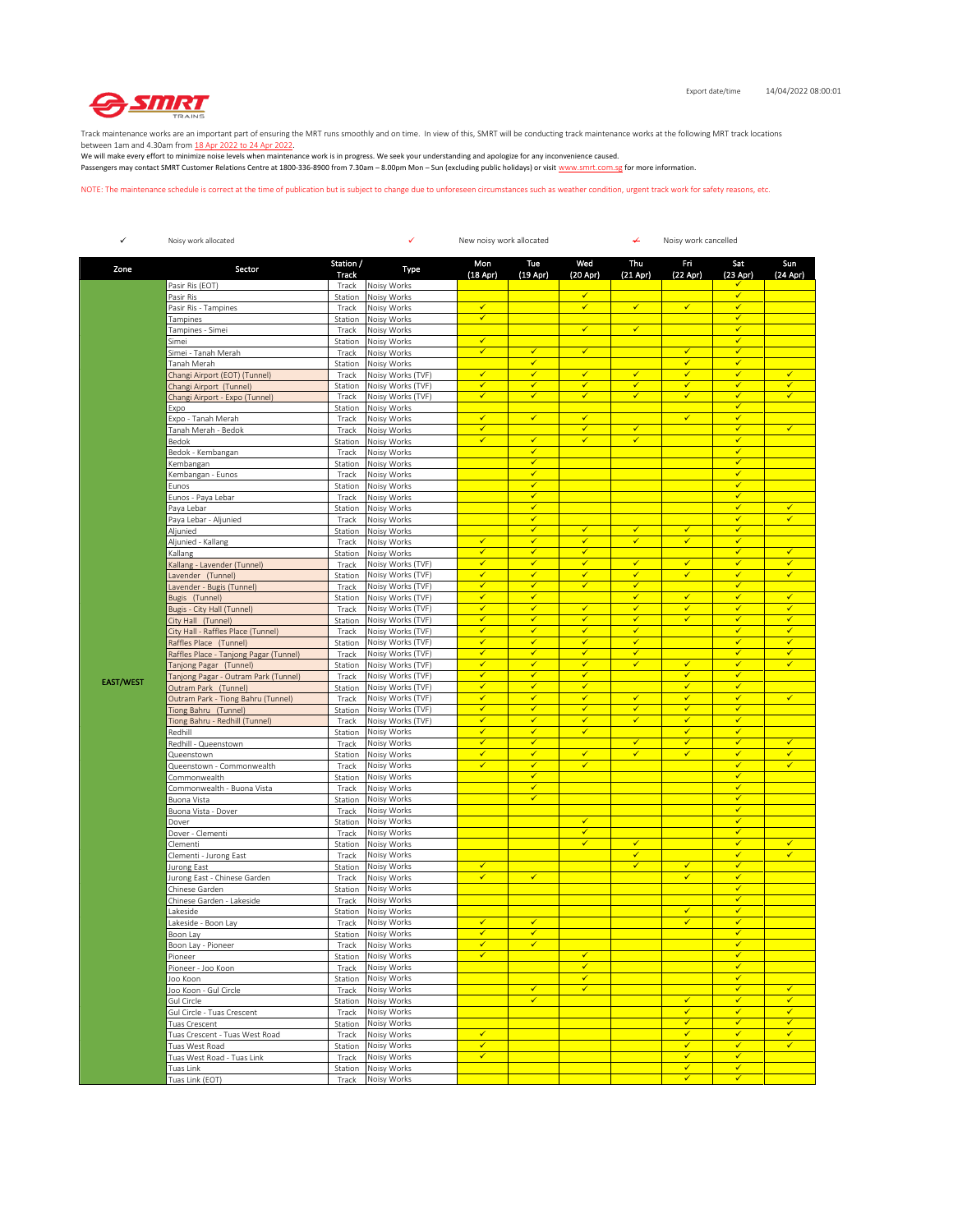

Track maintenance works are an important part of ensuring the MRT runs smoothly and on time. In view of this, SMRT will be conducting track maintenance works at the following MRT track locations

between 1am and 4.30am from <u>18 Apr 2022 to 24 Apr 2022</u>.<br>We will make every effort to minimize noise levels when maintenance work is in progress. We seek your understanding and apologize for any inconvenience caused. Passengers may contact SMRT Customer Relations Centre at 1800-336-8900 from 7.30am – 8.00pm Mon – Sun (excluding public holidays) or visit www.smrt.com.sg for more information.

NOTE: The maintenance schedule is correct at the time of publication but is subject to change due to unforeseen circumstances such as weather condition, urgent track work for safety reasons, etc.

| ✓                | Noisy work allocated                                         |                    | ✓<br>New noisy work allocated          |                              |                              |                              |                              | ↞<br>Noisy work cancelled    |                              |                              |  |  |
|------------------|--------------------------------------------------------------|--------------------|----------------------------------------|------------------------------|------------------------------|------------------------------|------------------------------|------------------------------|------------------------------|------------------------------|--|--|
| Zone             | Sector                                                       | Station /<br>Track | Type                                   | Mon<br>(18 Apr)              | Tue<br>$(19$ Apr)            | Wed<br>(20 Apr)              | Thu<br>$(21$ Apr)            | Fri<br>(22 Apr)              | Sat<br>$(23$ Apr)            | Sun<br>(24 Apr)              |  |  |
|                  | Pasir Ris (EOT)                                              | Track              | Noisy Works                            |                              |                              |                              |                              |                              |                              |                              |  |  |
|                  | Pasir Ris                                                    | Station            | Noisy Works                            |                              |                              | न                            |                              |                              | $\checkmark$                 |                              |  |  |
|                  | Pasir Ris - Tampines                                         | Track              | Noisy Works                            | $\checkmark$<br>✓            |                              | $\checkmark$                 | $\checkmark$                 | $\checkmark$                 | $\checkmark$<br>$\checkmark$ |                              |  |  |
|                  | Tampines<br>Tampines - Simei                                 | Station<br>Track   | Noisy Works<br>Noisy Works             |                              |                              | $\checkmark$                 | $\checkmark$                 |                              | $\checkmark$                 |                              |  |  |
|                  | Simei                                                        | Station            | Noisy Works                            | $\checkmark$                 |                              |                              |                              |                              | $\checkmark$                 |                              |  |  |
|                  | Simei - Tanah Merah                                          | Track              | Noisy Works                            | $\checkmark$                 | $\checkmark$                 | $\checkmark$                 |                              | $\checkmark$                 | $\checkmark$                 |                              |  |  |
|                  | Tanah Merah                                                  | Station            | Noisy Works                            |                              | $\checkmark$                 |                              |                              | $\checkmark$                 | $\checkmark$                 |                              |  |  |
|                  | Changi Airport (EOT) (Tunnel)<br>Changi Airport (Tunnel)     | Track<br>Station   | Noisy Works (TVF)<br>Noisy Works (TVF) | ✓<br>$\checkmark$            | ✓<br>✓                       | $\checkmark$<br>✓            | $\checkmark$<br>$\checkmark$ | $\checkmark$<br>✓            | $\checkmark$<br>$\checkmark$ | $\checkmark$<br>✓            |  |  |
|                  | Changi Airport - Expo (Tunnel)                               | Track              | Noisy Works (TVF)                      | $\checkmark$                 | $\checkmark$                 | $\checkmark$                 | $\checkmark$                 | $\checkmark$                 | $\checkmark$                 | $\checkmark$                 |  |  |
|                  | Expo                                                         | Station            | Noisy Works                            |                              |                              |                              |                              |                              | $\checkmark$                 |                              |  |  |
|                  | Expo - Tanah Merah                                           | Track              | Noisy Works                            | ✓                            | $\checkmark$                 | ✓                            |                              | $\checkmark$                 | $\checkmark$                 |                              |  |  |
|                  | Tanah Merah - Bedok<br>Bedok                                 | Track<br>Station   | Noisy Works<br>Noisy Works             | $\checkmark$<br>$\checkmark$ | $\checkmark$                 | $\checkmark$<br>$\checkmark$ | $\checkmark$<br>$\checkmark$ |                              | $\checkmark$<br>$\checkmark$ | $\checkmark$                 |  |  |
|                  | Bedok - Kembangan                                            | Track              | Noisy Works                            |                              | ✔                            |                              |                              |                              | $\checkmark$                 |                              |  |  |
|                  | Kembangan                                                    | Station            | Noisy Works                            |                              | $\checkmark$                 |                              |                              |                              | $\checkmark$                 |                              |  |  |
|                  | Kembangan - Eunos                                            | Track              | Noisy Works                            |                              | $\checkmark$                 |                              |                              |                              | $\checkmark$                 |                              |  |  |
|                  | Eunos                                                        | Station            | Noisy Works                            |                              | $\checkmark$                 |                              |                              |                              | $\checkmark$                 |                              |  |  |
|                  | Eunos - Paya Lebar<br>Paya Lebar                             | Track<br>Station   | Noisy Works<br>Noisy Works             |                              | $\checkmark$<br>✓            |                              |                              |                              | $\checkmark$<br>$\checkmark$ | ✓                            |  |  |
|                  | Paya Lebar - Aljunied                                        | Track              | Noisy Works                            |                              | $\checkmark$                 |                              |                              |                              | $\checkmark$                 | ✓                            |  |  |
|                  | Aljunied                                                     | Station            | Noisy Works                            |                              | $\checkmark$                 | $\checkmark$                 | $\checkmark$                 | $\checkmark$                 | $\checkmark$                 |                              |  |  |
|                  | Aljunied - Kallang                                           | Track              | Noisy Works                            | $\checkmark$                 | $\checkmark$                 | $\checkmark$                 | $\checkmark$                 | $\checkmark$                 | $\checkmark$                 |                              |  |  |
|                  | Kallang                                                      | Station            | Noisy Works                            | ✓                            | ✓                            | $\checkmark$                 |                              |                              | $\checkmark$                 | $\checkmark$                 |  |  |
|                  | Kallang - Lavender (Tunnel)<br>Lavender (Tunnel)             | Track<br>Station   | Noisy Works (TVF)<br>Noisy Works (TVF) | $\checkmark$<br>$\checkmark$ | ✔<br>$\checkmark$            | $\checkmark$<br>✓            | $\checkmark$<br>$\checkmark$ | √<br>$\checkmark$            | $\checkmark$<br>$\checkmark$ | ✓<br>$\checkmark$            |  |  |
|                  | Lavender - Bugis (Tunnel)                                    | Track              | Noisy Works (TVF)                      | $\checkmark$                 | $\checkmark$                 | ✓                            | $\checkmark$                 |                              | $\checkmark$                 |                              |  |  |
|                  | Bugis (Tunnel)                                               | Station            | Noisy Works (TVF)                      | $\checkmark$                 | $\checkmark$                 |                              | $\checkmark$                 | $\checkmark$                 | $\checkmark$                 | $\checkmark$                 |  |  |
|                  | Bugis - City Hall (Tunnel)                                   | Track              | Noisy Works (TVF)                      | $\checkmark$                 | $\checkmark$                 | $\checkmark$                 | $\checkmark$                 | ✓                            | $\checkmark$                 | $\checkmark$                 |  |  |
|                  | City Hall (Tunnel)                                           | Station            | Noisy Works (TVF)                      | ✓<br>$\overline{\checkmark}$ | ✔                            | $\checkmark$                 | ✔                            | ✔                            | $\checkmark$                 | ✓                            |  |  |
|                  | City Hall - Raffles Place (Tunnel)<br>Raffles Place (Tunnel) | Track<br>Station   | Noisy Works (TVF)<br>Noisy Works (TVF) | ✓                            | $\checkmark$<br>✓            | $\checkmark$<br>✓            | $\checkmark$<br>$\checkmark$ |                              | $\checkmark$<br>$\checkmark$ | $\checkmark$<br>$\checkmark$ |  |  |
|                  | Raffles Place - Tanjong Pagar (Tunnel)                       | Track              | Noisy Works (TVF)                      | $\checkmark$                 | $\checkmark$                 | $\checkmark$                 | $\checkmark$                 |                              | $\checkmark$                 | $\checkmark$                 |  |  |
|                  | Tanjong Pagar (Tunnel)                                       | Station            | Noisy Works (TVF)                      | $\checkmark$                 | $\checkmark$                 | ✓                            | $\checkmark$                 | $\checkmark$                 | $\checkmark$                 | $\checkmark$                 |  |  |
| <b>EAST/WEST</b> | Tanjong Pagar - Outram Park (Tunnel)                         | Track              | Noisy Works (TVF)                      | $\checkmark$                 | $\checkmark$                 | $\checkmark$                 |                              | $\checkmark$                 | $\checkmark$                 |                              |  |  |
|                  | Outram Park (Tunnel)                                         | Station            | Noisy Works (TVF)                      | √                            | $\checkmark$                 | ✓                            |                              | $\checkmark$<br>$\checkmark$ | $\checkmark$                 | $\checkmark$                 |  |  |
|                  | Outram Park - Tiong Bahru (Tunnel)<br>Tiong Bahru (Tunnel)   | Track<br>Station   | Noisy Works (TVF)<br>Noisy Works (TVF) | $\checkmark$<br>$\checkmark$ | $\checkmark$<br>$\checkmark$ | ✓<br>$\checkmark$            | $\checkmark$<br>$\checkmark$ | ✓                            | $\checkmark$<br>$\checkmark$ |                              |  |  |
|                  | Tiong Bahru - Redhill (Tunnel)                               | Track              | Noisy Works (TVF)                      | ✓                            | ✓                            | ✓                            | $\checkmark$                 | $\checkmark$                 | $\checkmark$                 |                              |  |  |
|                  | Redhill                                                      | Station            | Noisy Works                            | $\checkmark$                 | $\checkmark$                 | $\checkmark$                 |                              | ✔                            | $\checkmark$                 |                              |  |  |
|                  | Redhill - Queenstown                                         | Track              | Noisy Works                            | ✓                            | $\checkmark$                 |                              | $\checkmark$                 | $\checkmark$                 | $\checkmark$                 | $\checkmark$                 |  |  |
|                  | Queenstown                                                   | Station            | Noisy Works                            | ✓<br>$\checkmark$            | $\checkmark$<br>$\checkmark$ | $\checkmark$<br>$\checkmark$ | $\checkmark$                 | ✓                            | $\checkmark$<br>$\checkmark$ | $\checkmark$<br>$\checkmark$ |  |  |
|                  | Queenstown - Commonwealth<br>Commonwealth                    | Track<br>Station   | Noisy Works<br>Noisy Works             |                              | $\checkmark$                 |                              |                              |                              | $\checkmark$                 |                              |  |  |
|                  | Commonwealth - Buona Vista                                   | Track              | Noisy Works                            |                              | ✔                            |                              |                              |                              | $\checkmark$                 |                              |  |  |
|                  | Buona Vista                                                  | Station            | Noisy Works                            |                              | $\checkmark$                 |                              |                              |                              | $\checkmark$                 |                              |  |  |
|                  | Buona Vista - Dover                                          | Track              | Noisy Works                            |                              |                              |                              |                              |                              | $\checkmark$                 |                              |  |  |
|                  | Dover<br>Dover - Clementi                                    | Station<br>Track   | Noisy Works<br>Noisy Works             |                              |                              | $\checkmark$<br>$\checkmark$ |                              |                              | $\checkmark$<br>$\checkmark$ |                              |  |  |
|                  | Clementi                                                     | Station            | Noisy Works                            |                              |                              | $\checkmark$                 | $\checkmark$                 |                              | $\checkmark$                 | $\checkmark$                 |  |  |
|                  | Clementi - Jurong East                                       | Track              | Noisy Works                            |                              |                              |                              | $\checkmark$                 |                              | $\checkmark$                 | ✓                            |  |  |
|                  | Jurong East                                                  | Station            | Noisy Works                            | ✓                            |                              |                              | $\checkmark$                 | ✓                            | $\checkmark$                 |                              |  |  |
|                  | Jurong East - Chinese Garden                                 | Track              | Noisy Works                            | ✓                            | $\checkmark$                 |                              |                              | ✓                            | $\checkmark$<br>$\checkmark$ |                              |  |  |
|                  | Chinese Garden<br>Chinese Garden - Lakeside                  | Station<br>Track   | Noisy Works<br>Noisy Works             |                              |                              |                              |                              |                              | $\checkmark$                 |                              |  |  |
|                  | Lakeside                                                     | Station            | Noisy Works                            |                              |                              |                              |                              | $\checkmark$                 | $\checkmark$                 |                              |  |  |
|                  | Lakeside - Boon Lay                                          | Track              | Noisy Works                            | ✓                            | $\checkmark$                 |                              |                              | $\checkmark$                 | $\checkmark$                 |                              |  |  |
|                  | Boon Lay                                                     | Station            | Noisy Works                            |                              | ✓                            |                              |                              |                              |                              |                              |  |  |
|                  | Boon Lay - Pioneer                                           | Track              | Noisy Works                            | ✓                            | ✓                            | $\checkmark$                 |                              |                              | $\checkmark$                 |                              |  |  |
|                  | Pioneer<br>Pioneer - Joo Koon                                | Station<br>Track   | Noisy Works<br>Noisy Works             | ✔                            |                              | ✓                            |                              |                              | $\checkmark$<br>$\checkmark$ |                              |  |  |
|                  | Joo Koon                                                     | Station            | Noisy Works                            |                              |                              | $\checkmark$                 |                              |                              | $\checkmark$                 |                              |  |  |
|                  | Joo Koon - Gul Circle                                        | Track              | Noisy Works                            |                              | $\checkmark$                 | $\checkmark$                 |                              |                              | $\checkmark$                 | $\checkmark$                 |  |  |
|                  | Gul Circle                                                   | Station            | Noisy Works                            |                              | $\checkmark$                 |                              |                              | $\checkmark$                 | $\checkmark$                 | $\checkmark$                 |  |  |
|                  | Gul Circle - Tuas Crescent                                   | Track              | Noisy Works                            |                              |                              |                              |                              | ✔<br>$\checkmark$            | $\checkmark$<br>$\checkmark$ | $\checkmark$<br>✓            |  |  |
|                  | Tuas Crescent<br>Tuas Crescent - Tuas West Road              | Station<br>Track   | Noisy Works<br>Noisy Works             | $\checkmark$                 |                              |                              |                              | $\checkmark$                 | $\checkmark$                 | $\checkmark$                 |  |  |
|                  | Tuas West Road                                               | Station            | Noisy Works                            | $\checkmark$                 |                              |                              |                              | $\checkmark$                 | $\checkmark$                 | $\checkmark$                 |  |  |
|                  | Tuas West Road - Tuas Link                                   | Track              | Noisy Works                            | $\checkmark$                 |                              |                              |                              | $\checkmark$                 | $\checkmark$                 |                              |  |  |
|                  | Tuas Link                                                    | Station            | Noisy Works                            |                              |                              |                              |                              | ✔                            | $\checkmark$                 |                              |  |  |
|                  | Tuas Link (EOT)                                              | Track              | Noisy Works                            |                              |                              |                              |                              | ✓                            | $\checkmark$                 |                              |  |  |